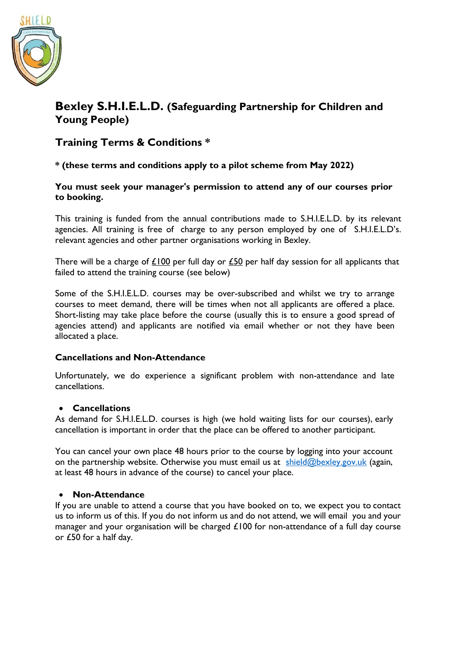

# **Bexley S.H.I.E.L.D. (Safeguarding Partnership for Children and Young People)**

## **Training Terms & Conditions \***

## **\* (these terms and conditions apply to a pilot scheme from May 2022)**

#### **You must seek your manager's permission to attend any of our courses prior to booking.**

This training is funded from the annual contributions made to S.H.I.E.L.D. by its relevant agencies. All training is free of charge to any person employed by one of S.H.I.E.L.D's. relevant agencies and other partner organisations working in Bexley.

There will be a charge of  $\angle 100$  per full day or  $\angle 50$  per half day session for all applicants that failed to attend the training course (see below)

Some of the S.H.I.E.L.D. courses may be over-subscribed and whilst we try to arrange courses to meet demand, there will be times when not all applicants are offered a place. Short-listing may take place before the course (usually this is to ensure a good spread of agencies attend) and applicants are notified via email whether or not they have been allocated a place.

### **Cancellations and Non-Attendance**

Unfortunately, we do experience a significant problem with non-attendance and late cancellations.

### **Cancellations**

As demand for S.H.I.E.L.D. courses is high (we hold waiting lists for our courses), early cancellation is important in order that the place can be offered to another participant.

You can cancel your own place 48 hours prior to the course by logging into your account on the partnership website. Otherwise you must email us at  $\frac{\text{shield@bexley.gov.uk}}{\text{global@bexley.gov.uk}}$  $\frac{\text{shield@bexley.gov.uk}}{\text{global@bexley.gov.uk}}$  $\frac{\text{shield@bexley.gov.uk}}{\text{global@bexley.gov.uk}}$  (again, at least 48 hours in advance of the course) to cancel your place.

### **Non-Attendance**

If you are unable to attend a course that you have booked on to, we expect you to contact us to inform us of this. If you do not inform us and do not attend, we will email you and your manager and your organisation will be charged  $£100$  for non-attendance of a full day course or £50 for a half day.